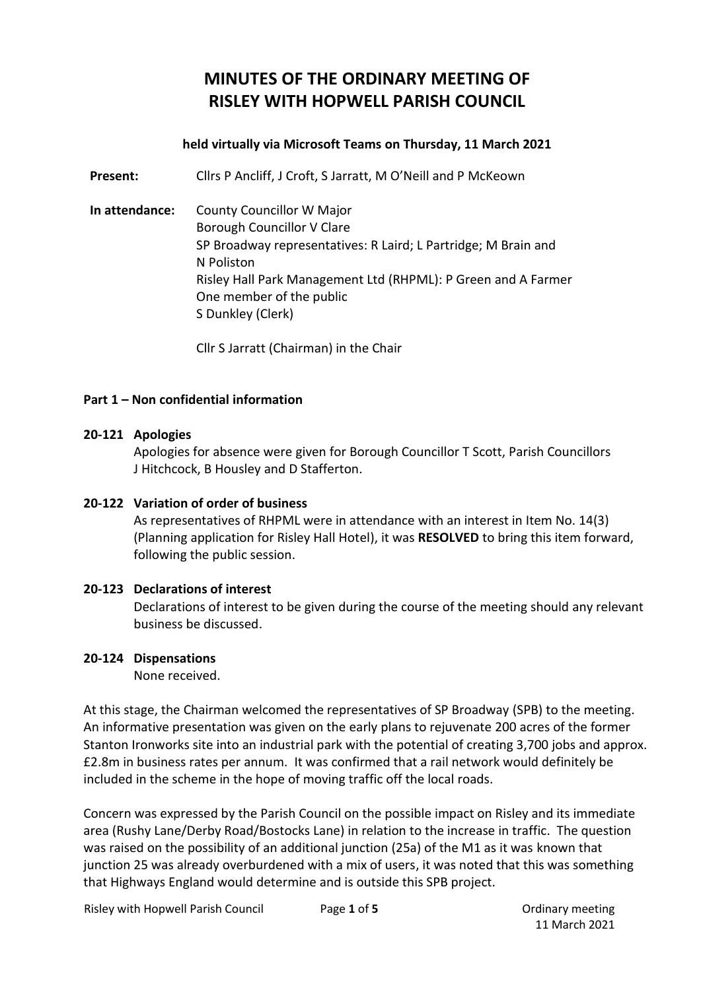# **MINUTES OF THE ORDINARY MEETING OF RISLEY WITH HOPWELL PARISH COUNCIL**

#### **held virtually via Microsoft Teams on Thursday, 11 March 2021**

**Present:** Cllrs P Ancliff, J Croft, S Jarratt, M O'Neill and P McKeown

**In attendance:** County Councillor W Major Borough Councillor V Clare SP Broadway representatives: R Laird; L Partridge; M Brain and N Poliston Risley Hall Park Management Ltd (RHPML): P Green and A Farmer One member of the public S Dunkley (Clerk)

Cllr S Jarratt (Chairman) in the Chair

#### **Part 1 – Non confidential information**

#### **20-121 Apologies**

Apologies for absence were given for Borough Councillor T Scott, Parish Councillors J Hitchcock, B Housley and D Stafferton.

#### **20-122 Variation of order of business**

As representatives of RHPML were in attendance with an interest in Item No. 14(3) (Planning application for Risley Hall Hotel), it was **RESOLVED** to bring this item forward, following the public session.

## **20-123 Declarations of interest**

Declarations of interest to be given during the course of the meeting should any relevant business be discussed.

## **20-124 Dispensations**

None received.

At this stage, the Chairman welcomed the representatives of SP Broadway (SPB) to the meeting. An informative presentation was given on the early plans to rejuvenate 200 acres of the former Stanton Ironworks site into an industrial park with the potential of creating 3,700 jobs and approx. £2.8m in business rates per annum. It was confirmed that a rail network would definitely be included in the scheme in the hope of moving traffic off the local roads.

Concern was expressed by the Parish Council on the possible impact on Risley and its immediate area (Rushy Lane/Derby Road/Bostocks Lane) in relation to the increase in traffic. The question was raised on the possibility of an additional junction (25a) of the M1 as it was known that junction 25 was already overburdened with a mix of users, it was noted that this was something that Highways England would determine and is outside this SPB project.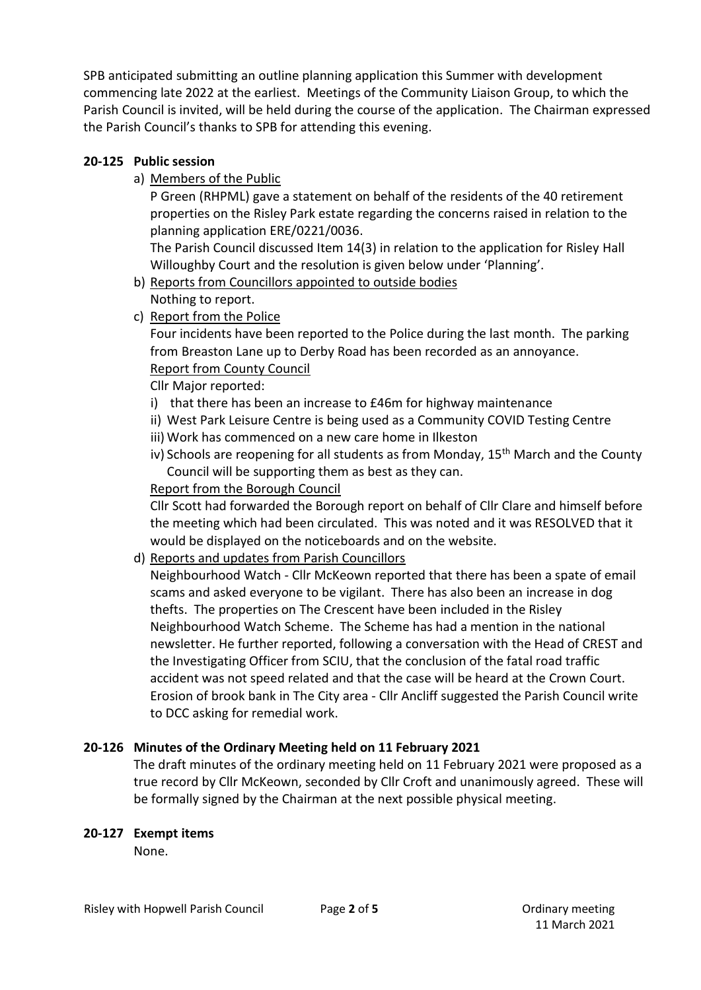SPB anticipated submitting an outline planning application this Summer with development commencing late 2022 at the earliest. Meetings of the Community Liaison Group, to which the Parish Council is invited, will be held during the course of the application. The Chairman expressed the Parish Council's thanks to SPB for attending this evening.

# **20-125 Public session**

a) Members of the Public

P Green (RHPML) gave a statement on behalf of the residents of the 40 retirement properties on the Risley Park estate regarding the concerns raised in relation to the planning application ERE/0221/0036.

The Parish Council discussed Item 14(3) in relation to the application for Risley Hall Willoughby Court and the resolution is given below under 'Planning'.

b) Reports from Councillors appointed to outside bodies

Nothing to report.

c) Report from the Police

Four incidents have been reported to the Police during the last month. The parking from Breaston Lane up to Derby Road has been recorded as an annoyance. Report from County Council

Cllr Major reported:

- i) that there has been an increase to £46m for highway maintenance
- ii) West Park Leisure Centre is being used as a Community COVID Testing Centre
- iii) Work has commenced on a new care home in Ilkeston
- iv) Schools are reopening for all students as from Monday,  $15<sup>th</sup>$  March and the County Council will be supporting them as best as they can.

# Report from the Borough Council

Cllr Scott had forwarded the Borough report on behalf of Cllr Clare and himself before the meeting which had been circulated. This was noted and it was RESOLVED that it would be displayed on the noticeboards and on the website.

d) Reports and updates from Parish Councillors

Neighbourhood Watch - Cllr McKeown reported that there has been a spate of email scams and asked everyone to be vigilant. There has also been an increase in dog thefts. The properties on The Crescent have been included in the Risley Neighbourhood Watch Scheme. The Scheme has had a mention in the national newsletter. He further reported, following a conversation with the Head of CREST and the Investigating Officer from SCIU, that the conclusion of the fatal road traffic accident was not speed related and that the case will be heard at the Crown Court. Erosion of brook bank in The City area - Cllr Ancliff suggested the Parish Council write to DCC asking for remedial work.

## **20-126 Minutes of the Ordinary Meeting held on 11 February 2021**

The draft minutes of the ordinary meeting held on 11 February 2021 were proposed as a true record by Cllr McKeown, seconded by Cllr Croft and unanimously agreed. These will be formally signed by the Chairman at the next possible physical meeting.

## **20-127 Exempt items**

None.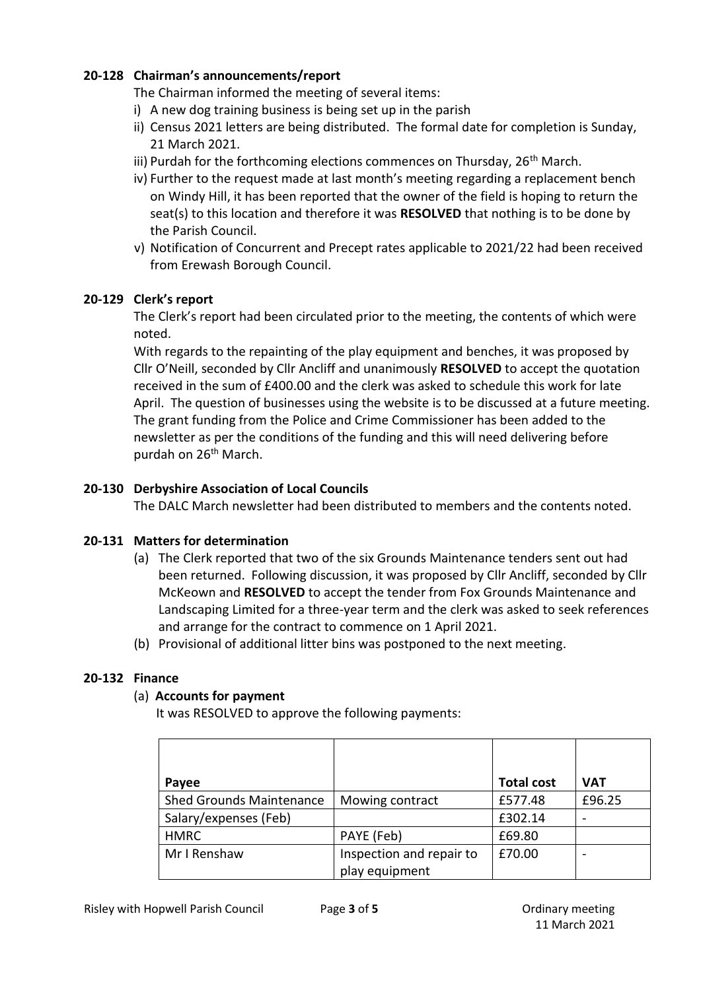# **20-128 Chairman's announcements/report**

The Chairman informed the meeting of several items:

- i) A new dog training business is being set up in the parish
- ii) Census 2021 letters are being distributed. The formal date for completion is Sunday, 21 March 2021.
- iii) Purdah for the forthcoming elections commences on Thursday, 26<sup>th</sup> March.
- iv) Further to the request made at last month's meeting regarding a replacement bench on Windy Hill, it has been reported that the owner of the field is hoping to return the seat(s) to this location and therefore it was **RESOLVED** that nothing is to be done by the Parish Council.
- v) Notification of Concurrent and Precept rates applicable to 2021/22 had been received from Erewash Borough Council.

# **20-129 Clerk's report**

The Clerk's report had been circulated prior to the meeting, the contents of which were noted.

With regards to the repainting of the play equipment and benches, it was proposed by Cllr O'Neill, seconded by Cllr Ancliff and unanimously **RESOLVED** to accept the quotation received in the sum of £400.00 and the clerk was asked to schedule this work for late April. The question of businesses using the website is to be discussed at a future meeting. The grant funding from the Police and Crime Commissioner has been added to the newsletter as per the conditions of the funding and this will need delivering before purdah on 26<sup>th</sup> March.

# **20-130 Derbyshire Association of Local Councils**

The DALC March newsletter had been distributed to members and the contents noted.

## **20-131 Matters for determination**

- (a) The Clerk reported that two of the six Grounds Maintenance tenders sent out had been returned. Following discussion, it was proposed by Cllr Ancliff, seconded by Cllr McKeown and **RESOLVED** to accept the tender from Fox Grounds Maintenance and Landscaping Limited for a three-year term and the clerk was asked to seek references and arrange for the contract to commence on 1 April 2021.
- (b) Provisional of additional litter bins was postponed to the next meeting.

# **20-132 Finance**

## (a) **Accounts for payment**

It was RESOLVED to approve the following payments:

| Payee                           |                          | <b>Total cost</b> | VAT    |
|---------------------------------|--------------------------|-------------------|--------|
| <b>Shed Grounds Maintenance</b> | Mowing contract          | £577.48           | £96.25 |
| Salary/expenses (Feb)           |                          | £302.14           |        |
| <b>HMRC</b>                     | PAYE (Feb)               | £69.80            |        |
| Mr I Renshaw                    | Inspection and repair to | £70.00            |        |
|                                 | play equipment           |                   |        |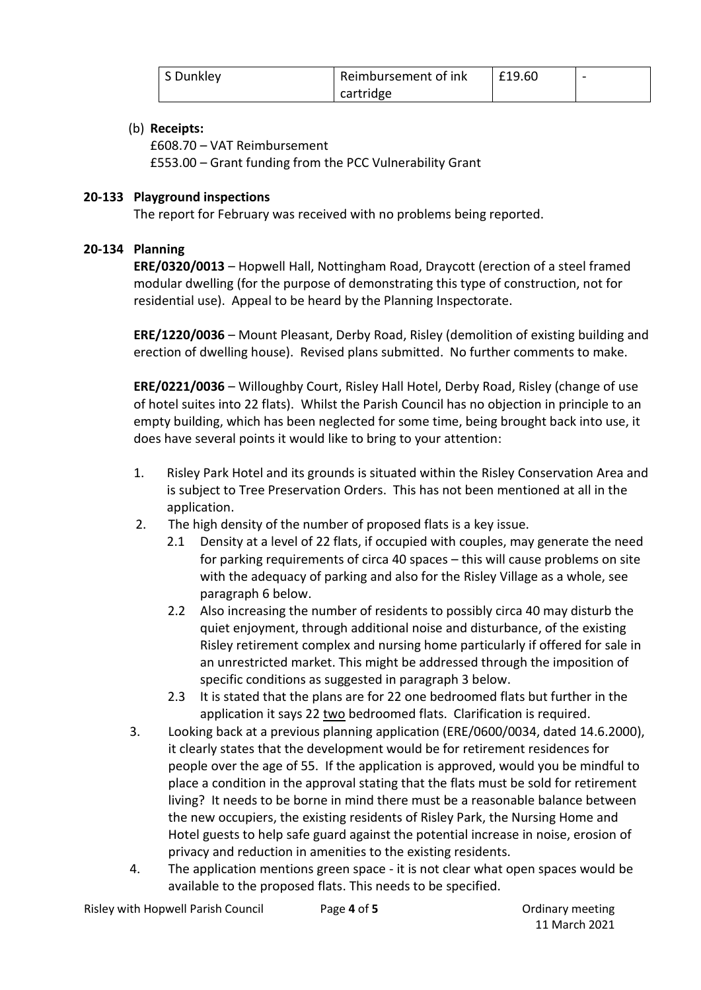| S Dunkley | Reimbursement of ink | E19.60 | - |
|-----------|----------------------|--------|---|
|           | cartridge            |        |   |

## (b) **Receipts:**

£608.70 – VAT Reimbursement £553.00 – Grant funding from the PCC Vulnerability Grant

#### **20-133 Playground inspections**

The report for February was received with no problems being reported.

## **20-134 Planning**

**ERE/0320/0013** – Hopwell Hall, Nottingham Road, Draycott (erection of a steel framed modular dwelling (for the purpose of demonstrating this type of construction, not for residential use). Appeal to be heard by the Planning Inspectorate.

**ERE/1220/0036** – Mount Pleasant, Derby Road, Risley (demolition of existing building and erection of dwelling house). Revised plans submitted. No further comments to make.

**ERE/0221/0036** – Willoughby Court, Risley Hall Hotel, Derby Road, Risley (change of use of hotel suites into 22 flats). Whilst the Parish Council has no objection in principle to an empty building, which has been neglected for some time, being brought back into use, it does have several points it would like to bring to your attention:

- 1. Risley Park Hotel and its grounds is situated within the Risley Conservation Area and is subject to Tree Preservation Orders. This has not been mentioned at all in the application.
- 2. The high density of the number of proposed flats is a key issue.
	- 2.1 Density at a level of 22 flats, if occupied with couples, may generate the need for parking requirements of circa 40 spaces – this will cause problems on site with the adequacy of parking and also for the Risley Village as a whole, see paragraph 6 below.
	- 2.2 Also increasing the number of residents to possibly circa 40 may disturb the quiet enjoyment, through additional noise and disturbance, of the existing Risley retirement complex and nursing home particularly if offered for sale in an unrestricted market. This might be addressed through the imposition of specific conditions as suggested in paragraph 3 below.
	- 2.3 It is stated that the plans are for 22 one bedroomed flats but further in the application it says 22 two bedroomed flats. Clarification is required.
- 3. Looking back at a previous planning application (ERE/0600/0034, dated 14.6.2000), it clearly states that the development would be for retirement residences for people over the age of 55. If the application is approved, would you be mindful to place a condition in the approval stating that the flats must be sold for retirement living? It needs to be borne in mind there must be a reasonable balance between the new occupiers, the existing residents of Risley Park, the Nursing Home and Hotel guests to help safe guard against the potential increase in noise, erosion of privacy and reduction in amenities to the existing residents.
- 4. The application mentions green space it is not clear what open spaces would be available to the proposed flats. This needs to be specified.